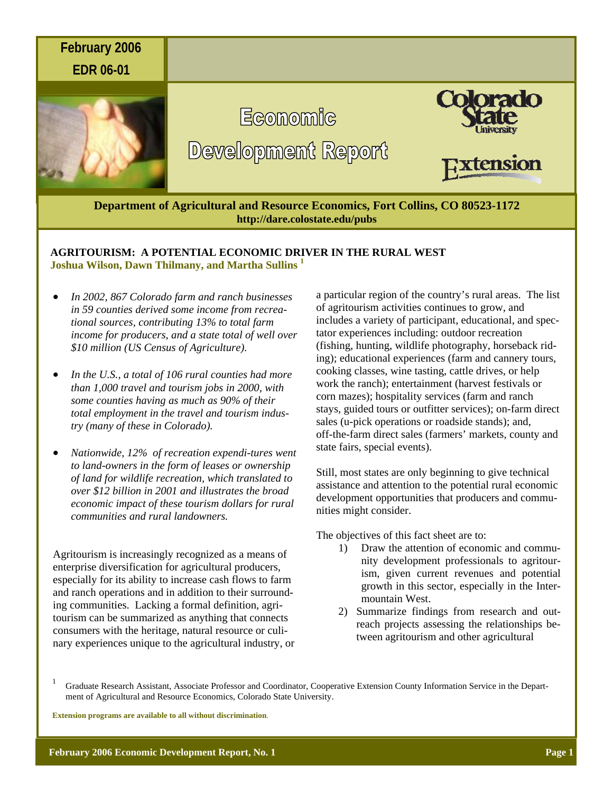

# **AGRITOURISM: A POTENTIAL ECONOMIC DRIVER IN THE RURAL WEST Joshua Wilson, Dawn Thilmany, and Martha Sullins 1**

- *In 2002, 867 Colorado farm and ranch businesses in 59 counties derived some income from recreational sources, contributing 13% to total farm income for producers, and a state total of well over \$10 million (US Census of Agriculture).*
- *In the U.S., a total of 106 rural counties had more than 1,000 travel and tourism jobs in 2000, with some counties having as much as 90% of their total employment in the travel and tourism industry (many of these in Colorado).*
- *Nationwide, 12% of recreation expendi-tures went to land-owners in the form of leases or ownership of land for wildlife recreation, which translated to over \$12 billion in 2001 and illustrates the broad economic impact of these tourism dollars for rural communities and rural landowners.*

Agritourism is increasingly recognized as a means of enterprise diversification for agricultural producers, especially for its ability to increase cash flows to farm and ranch operations and in addition to their surrounding communities. Lacking a formal definition, agritourism can be summarized as anything that connects consumers with the heritage, natural resource or culinary experiences unique to the agricultural industry, or a particular region of the country's rural areas. The list of agritourism activities continues to grow, and includes a variety of participant, educational, and spectator experiences including: outdoor recreation (fishing, hunting, wildlife photography, horseback riding); educational experiences (farm and cannery tours, cooking classes, wine tasting, cattle drives, or help work the ranch); entertainment (harvest festivals or corn mazes); hospitality services (farm and ranch stays, guided tours or outfitter services); on-farm direct sales (u-pick operations or roadside stands); and, off-the-farm direct sales (farmers' markets, county and state fairs, special events).

Still, most states are only beginning to give technical assistance and attention to the potential rural economic development opportunities that producers and communities might consider.

The objectives of this fact sheet are to:

- 1) Draw the attention of economic and community development professionals to agritourism, given current revenues and potential growth in this sector, especially in the Intermountain West.
- 2) Summarize findings from research and outreach projects assessing the relationships between agritourism and other agricultural

**Extension programs are available to all without discrimination**.

<sup>&</sup>lt;sup>1</sup> Graduate Research Assistant, Associate Professor and Coordinator, Cooperative Extension County Information Service in the Department of Agricultural and Resource Economics, Colorado State University.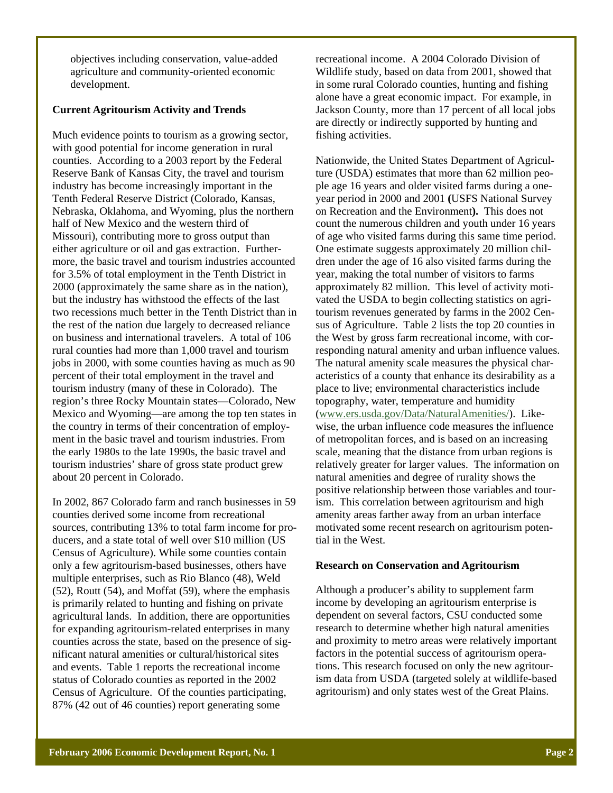objectives including conservation, value-added agriculture and community-oriented economic development.

# **Current Agritourism Activity and Trends**

Much evidence points to tourism as a growing sector, with good potential for income generation in rural counties. According to a 2003 report by the Federal Reserve Bank of Kansas City, the travel and tourism industry has become increasingly important in the Tenth Federal Reserve District (Colorado, Kansas, Nebraska, Oklahoma, and Wyoming, plus the northern half of New Mexico and the western third of Missouri), contributing more to gross output than either agriculture or oil and gas extraction. Furthermore, the basic travel and tourism industries accounted for 3.5% of total employment in the Tenth District in 2000 (approximately the same share as in the nation), but the industry has withstood the effects of the last two recessions much better in the Tenth District than in the rest of the nation due largely to decreased reliance on business and international travelers. A total of 106 rural counties had more than 1,000 travel and tourism jobs in 2000, with some counties having as much as 90 percent of their total employment in the travel and tourism industry (many of these in Colorado). The region's three Rocky Mountain states—Colorado, New Mexico and Wyoming—are among the top ten states in the country in terms of their concentration of employment in the basic travel and tourism industries. From the early 1980s to the late 1990s, the basic travel and tourism industries' share of gross state product grew about 20 percent in Colorado.

In 2002, 867 Colorado farm and ranch businesses in 59 counties derived some income from recreational sources, contributing 13% to total farm income for producers, and a state total of well over \$10 million (US Census of Agriculture). While some counties contain only a few agritourism-based businesses, others have multiple enterprises, such as Rio Blanco (48), Weld (52), Routt (54), and Moffat (59), where the emphasis is primarily related to hunting and fishing on private agricultural lands. In addition, there are opportunities for expanding agritourism-related enterprises in many counties across the state, based on the presence of significant natural amenities or cultural/historical sites and events. Table 1 reports the recreational income status of Colorado counties as reported in the 2002 Census of Agriculture. Of the counties participating, 87% (42 out of 46 counties) report generating some

recreational income. A 2004 Colorado Division of Wildlife study, based on data from 2001, showed that in some rural Colorado counties, hunting and fishing alone have a great economic impact. For example, in Jackson County, more than 17 percent of all local jobs are directly or indirectly supported by hunting and fishing activities.

Nationwide, the United States Department of Agriculture (USDA) estimates that more than 62 million people age 16 years and older visited farms during a oneyear period in 2000 and 2001 **(**USFS National Survey on Recreation and the Environment**).** This does not count the numerous children and youth under 16 years of age who visited farms during this same time period. One estimate suggests approximately 20 million children under the age of 16 also visited farms during the year, making the total number of visitors to farms approximately 82 million. This level of activity motivated the USDA to begin collecting statistics on agritourism revenues generated by farms in the 2002 Census of Agriculture. Table 2 lists the top 20 counties in the West by gross farm recreational income, with corresponding natural amenity and urban influence values. The natural amenity scale measures the physical characteristics of a county that enhance its desirability as a place to live; environmental characteristics include topography, water, temperature and humidity (www.ers.usda.gov/Data/NaturalAmenities/). Likewise, the urban influence code measures the influence of metropolitan forces, and is based on an increasing scale, meaning that the distance from urban regions is relatively greater for larger values. The information on natural amenities and degree of rurality shows the positive relationship between those variables and tourism. This correlation between agritourism and high amenity areas farther away from an urban interface motivated some recent research on agritourism potential in the West.

### **Research on Conservation and Agritourism**

Although a producer's ability to supplement farm income by developing an agritourism enterprise is dependent on several factors, CSU conducted some research to determine whether high natural amenities and proximity to metro areas were relatively important factors in the potential success of agritourism operations. This research focused on only the new agritourism data from USDA (targeted solely at wildlife-based agritourism) and only states west of the Great Plains.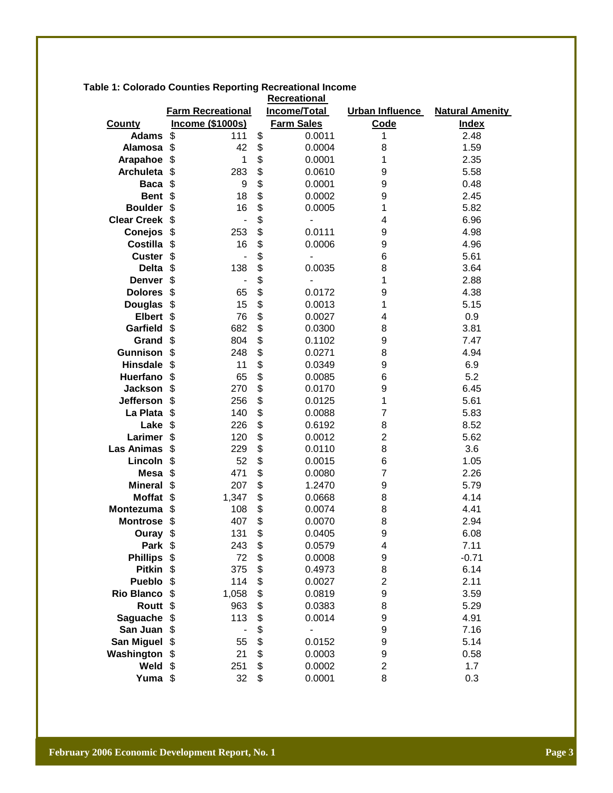| <b>Recreational</b>          |                                    |          |                          |                     |                        |  |  |  |
|------------------------------|------------------------------------|----------|--------------------------|---------------------|------------------------|--|--|--|
|                              | <b>Farm Recreational</b>           |          | Income/Total             | Urban Influence     | <b>Natural Amenity</b> |  |  |  |
| <b>County</b>                | <b>Income (\$1000s)</b>            |          | <b>Farm Sales</b>        | <b>Code</b>         | <b>Index</b>           |  |  |  |
| <b>Adams</b>                 | \$<br>111                          | \$       | 0.0011                   | 1                   | 2.48                   |  |  |  |
| Alamosa                      | \$<br>42                           | \$       | 0.0004                   | 8                   | 1.59                   |  |  |  |
| Arapahoe                     | \$<br>1                            | \$       | 0.0001                   | 1                   | 2.35                   |  |  |  |
| <b>Archuleta</b>             | \$<br>283                          | \$       | 0.0610                   | 9                   | 5.58                   |  |  |  |
| <b>Baca</b>                  | \$<br>9                            | \$       | 0.0001                   | 9                   | 0.48                   |  |  |  |
| <b>Bent</b>                  | \$<br>18                           | \$       | 0.0002                   | 9                   | 2.45                   |  |  |  |
| <b>Boulder</b>               | \$<br>16                           | \$       | 0.0005                   | 1                   | 5.82                   |  |  |  |
| <b>Clear Creek</b>           | \$<br>$\overline{a}$               | \$       | $\overline{\phantom{a}}$ | 4                   | 6.96                   |  |  |  |
| <b>Conejos</b>               | \$<br>253                          | \$       | 0.0111                   | 9                   | 4.98                   |  |  |  |
| <b>Costilla</b>              | \$<br>16                           | \$       | 0.0006                   | 9                   | 4.96                   |  |  |  |
| <b>Custer</b>                | \$<br>$\overline{a}$               | \$       | $\overline{\phantom{a}}$ | 6                   | 5.61                   |  |  |  |
| <b>Delta</b>                 | \$<br>138                          | \$       | 0.0035                   | 8                   | 3.64                   |  |  |  |
| <b>Denver</b>                | \$<br>$\qquad \qquad \blacksquare$ | \$       | $\overline{a}$           | 1                   | 2.88                   |  |  |  |
| <b>Dolores</b>               | \$<br>65                           | \$       | 0.0172                   | 9                   | 4.38                   |  |  |  |
| <b>Douglas</b>               | \$<br>15                           | \$       | 0.0013                   | 1                   | 5.15                   |  |  |  |
| <b>Elbert</b>                | \$<br>76                           | \$       | 0.0027                   | 4                   | 0.9                    |  |  |  |
| Garfield                     | \$<br>682                          | \$       | 0.0300                   | 8                   | 3.81                   |  |  |  |
| Grand                        | \$<br>804                          | \$       | 0.1102                   | 9                   | 7.47                   |  |  |  |
| <b>Gunnison</b>              | \$<br>248                          | \$       | 0.0271                   | 8                   | 4.94                   |  |  |  |
| <b>Hinsdale</b>              | \$<br>11                           | \$       | 0.0349                   | 9                   | 6.9                    |  |  |  |
| Huerfano                     | \$<br>65                           | \$       | 0.0085                   | 6                   | 5.2                    |  |  |  |
| <b>Jackson</b>               | \$<br>270                          | \$       | 0.0170                   | 9                   | 6.45                   |  |  |  |
| <b>Jefferson</b>             | \$<br>256                          | \$       | 0.0125                   | 1                   | 5.61                   |  |  |  |
| La Plata                     | \$<br>140                          | \$       | 0.0088                   | 7                   | 5.83                   |  |  |  |
| Lake                         | \$<br>226                          | \$<br>\$ | 0.6192                   | 8<br>$\overline{2}$ | 8.52                   |  |  |  |
| Larimer<br><b>Las Animas</b> | \$<br>120<br>\$                    | \$       | 0.0012<br>0.0110         | 8                   | 5.62<br>3.6            |  |  |  |
| Lincoln                      | 229<br>\$<br>52                    | \$       | 0.0015                   | 6                   | 1.05                   |  |  |  |
| <b>Mesa</b>                  | \$<br>471                          | \$       | 0.0080                   | 7                   | 2.26                   |  |  |  |
| <b>Mineral</b>               | \$<br>207                          | \$       | 1.2470                   | 9                   | 5.79                   |  |  |  |
| <b>Moffat</b>                | \$<br>1,347                        | \$       | 0.0668                   | 8                   | 4.14                   |  |  |  |
| Montezuma                    | \$<br>108                          | \$       | 0.0074                   | 8                   | 4.41                   |  |  |  |
| <b>Montrose</b>              | \$<br>407                          | \$       | 0.0070                   | 8                   | 2.94                   |  |  |  |
| Ouray                        | \$<br>131                          | \$       | 0.0405                   | 9                   | 6.08                   |  |  |  |
| Park \$                      | 243                                | \$       | 0.0579                   | 4                   | 7.11                   |  |  |  |
| <b>Phillips</b>              | \$<br>72                           | \$       | 0.0008                   | 9                   | $-0.71$                |  |  |  |
| <b>Pitkin</b>                | \$<br>375                          | \$       | 0.4973                   | 8                   | 6.14                   |  |  |  |
| Pueblo                       | \$<br>114                          | \$       | 0.0027                   | $\overline{c}$      | 2.11                   |  |  |  |
| <b>Rio Blanco</b>            | \$<br>1,058                        | \$       | 0.0819                   | 9                   | 3.59                   |  |  |  |
| <b>Routt</b>                 | $\frac{1}{2}$<br>963               | \$       | 0.0383                   | 8                   | 5.29                   |  |  |  |
| Saguache                     | \$<br>113                          | \$       | 0.0014                   | 9                   | 4.91                   |  |  |  |
| San Juan                     | \$                                 | \$       | $\overline{a}$           | 9                   | 7.16                   |  |  |  |
| <b>San Miguel</b>            | \$<br>55                           | \$       | 0.0152                   | 9                   | 5.14                   |  |  |  |
| Washington                   | \$<br>21                           | \$       | 0.0003                   | 9                   | 0.58                   |  |  |  |
| Weld                         | \$<br>251                          | \$       | 0.0002                   | $\overline{2}$      | 1.7                    |  |  |  |
| Yuma \$                      | 32                                 | \$       | 0.0001                   | 8                   | 0.3                    |  |  |  |

**Table 1: Colorado Counties Reporting Recreational Income**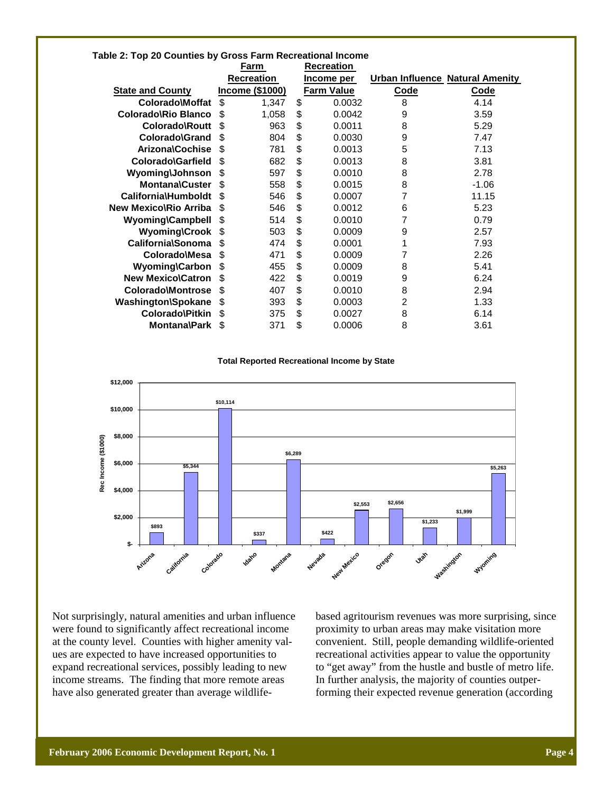|                              | Farm              |                        | <b>Recreation</b> |                   |             |                                 |
|------------------------------|-------------------|------------------------|-------------------|-------------------|-------------|---------------------------------|
|                              | <b>Recreation</b> |                        | Income per        |                   |             | Urban Influence Natural Amenity |
| <b>State and County</b>      |                   | <b>Income (\$1000)</b> |                   | <b>Farm Value</b> | <b>Code</b> | <b>Code</b>                     |
| Colorado\Moffat              | \$                | 1,347                  | \$                | 0.0032            | 8           | 4.14                            |
| Colorado Rio Blanco          | \$                | 1,058                  | \$                | 0.0042            | 9           | 3.59                            |
| Colorado\Routt               | \$                | 963                    | \$                | 0.0011            | 8           | 5.29                            |
| Colorado\Grand               | S.                | 804                    | \$                | 0.0030            | 9           | 7.47                            |
| <b>Arizona\Cochise</b>       | \$                | 781                    | \$                | 0.0013            | 5           | 7.13                            |
| Colorado\Garfield            | S                 | 682                    | \$                | 0.0013            | 8           | 3.81                            |
| Wyoming\Johnson              | \$                | 597                    | \$                | 0.0010            | 8           | 2.78                            |
| <b>Montana\Custer</b>        | \$                | 558                    | \$                | 0.0015            | 8           | $-1.06$                         |
| California\Humboldt          | \$.               | 546                    | \$                | 0.0007            | 7           | 11.15                           |
| <b>New Mexico\Rio Arriba</b> | \$                | 546                    | \$                | 0.0012            | 6           | 5.23                            |
| Wyoming\Campbell             | \$                | 514                    | \$                | 0.0010            | 7           | 0.79                            |
| <b>Wyoming\Crook</b>         | \$                | 503                    | \$                | 0.0009            | 9           | 2.57                            |
| California\Sonoma            | \$                | 474                    | \$                | 0.0001            | 1           | 7.93                            |
| Colorado\Mesa                | \$.               | 471                    | \$                | 0.0009            | 7           | 2.26                            |
| <b>Wyoming\Carbon</b>        | \$                | 455                    | \$                | 0.0009            | 8           | 5.41                            |
| <b>New Mexico\Catron</b>     | \$                | 422                    | \$                | 0.0019            | 9           | 6.24                            |
| <b>Colorado\Montrose</b>     | \$                | 407                    | \$                | 0.0010            | 8           | 2.94                            |
| <b>Washington\Spokane</b>    | \$                | 393                    | \$                | 0.0003            | 2           | 1.33                            |
| Colorado\Pitkin              | S.                | 375                    | \$                | 0.0027            | 8           | 6.14                            |
| <b>Montana\Park</b>          | \$                | 371                    | \$                | 0.0006            | 8           | 3.61                            |

### **Table 2: Top 20 Counties by Gross Farm Recreational Income**

#### **Total Reported Recreational Income by State**



Not surprisingly, natural amenities and urban influence were found to significantly affect recreational income at the county level. Counties with higher amenity values are expected to have increased opportunities to expand recreational services, possibly leading to new income streams. The finding that more remote areas have also generated greater than average wildlifebased agritourism revenues was more surprising, since proximity to urban areas may make visitation more convenient. Still, people demanding wildlife-oriented recreational activities appear to value the opportunity to "get away" from the hustle and bustle of metro life. In further analysis, the majority of counties outperforming their expected revenue generation (according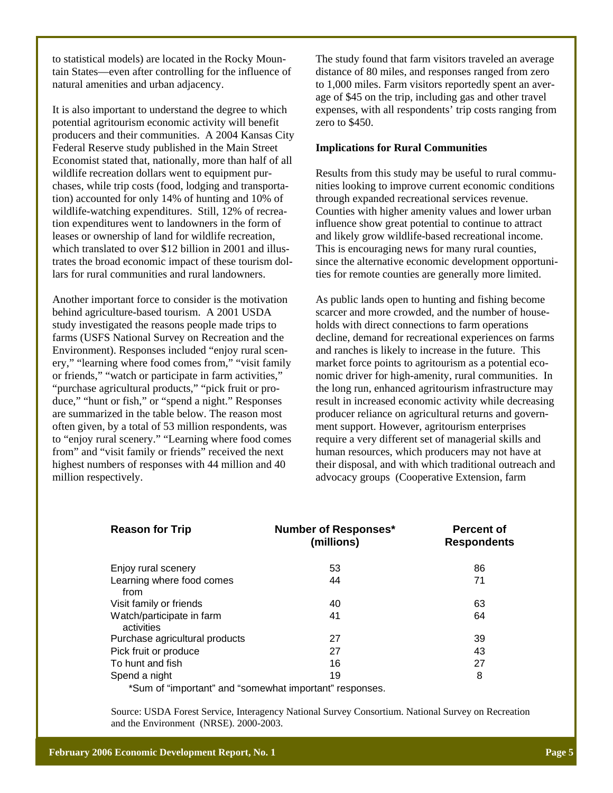to statistical models) are located in the Rocky Mountain States—even after controlling for the influence of natural amenities and urban adjacency.

It is also important to understand the degree to which potential agritourism economic activity will benefit producers and their communities. A 2004 Kansas City Federal Reserve study published in the Main Street Economist stated that, nationally, more than half of all wildlife recreation dollars went to equipment purchases, while trip costs (food, lodging and transportation) accounted for only 14% of hunting and 10% of wildlife-watching expenditures. Still, 12% of recreation expenditures went to landowners in the form of leases or ownership of land for wildlife recreation, which translated to over \$12 billion in 2001 and illustrates the broad economic impact of these tourism dollars for rural communities and rural landowners.

Another important force to consider is the motivation behind agriculture-based tourism. A 2001 USDA study investigated the reasons people made trips to farms (USFS National Survey on Recreation and the Environment). Responses included "enjoy rural scenery," "learning where food comes from," "visit family or friends," "watch or participate in farm activities," "purchase agricultural products," "pick fruit or produce," "hunt or fish," or "spend a night." Responses are summarized in the table below. The reason most often given, by a total of 53 million respondents, was to "enjoy rural scenery." "Learning where food comes from" and "visit family or friends" received the next highest numbers of responses with 44 million and 40 million respectively.

The study found that farm visitors traveled an average distance of 80 miles, and responses ranged from zero to 1,000 miles. Farm visitors reportedly spent an average of \$45 on the trip, including gas and other travel expenses, with all respondents' trip costs ranging from zero to \$450.

### **Implications for Rural Communities**

Results from this study may be useful to rural communities looking to improve current economic conditions through expanded recreational services revenue. Counties with higher amenity values and lower urban influence show great potential to continue to attract and likely grow wildlife-based recreational income. This is encouraging news for many rural counties, since the alternative economic development opportunities for remote counties are generally more limited.

As public lands open to hunting and fishing become scarcer and more crowded, and the number of households with direct connections to farm operations decline, demand for recreational experiences on farms and ranches is likely to increase in the future. This market force points to agritourism as a potential economic driver for high-amenity, rural communities. In the long run, enhanced agritourism infrastructure may result in increased economic activity while decreasing producer reliance on agricultural returns and government support. However, agritourism enterprises require a very different set of managerial skills and human resources, which producers may not have at their disposal, and with which traditional outreach and advocacy groups (Cooperative Extension, farm

| <b>Reason for Trip</b>                                  | <b>Number of Responses*</b><br>(millions) | <b>Percent of</b><br><b>Respondents</b> |
|---------------------------------------------------------|-------------------------------------------|-----------------------------------------|
| Enjoy rural scenery                                     | 53                                        | 86                                      |
| Learning where food comes<br>from                       | 44                                        | 71                                      |
| Visit family or friends                                 | 40                                        | 63                                      |
| Watch/participate in farm<br>activities                 | 41                                        | 64                                      |
| Purchase agricultural products                          | 27                                        | 39                                      |
| Pick fruit or produce                                   | 27                                        | 43                                      |
| To hunt and fish                                        | 16                                        | 27                                      |
| Spend a night                                           | 19                                        | 8                                       |
| *Sum of "important" and "somewhat important" responses. |                                           |                                         |

Source: USDA Forest Service, Interagency National Survey Consortium. National Survey on Recreation and the Environment (NRSE). 2000-2003.